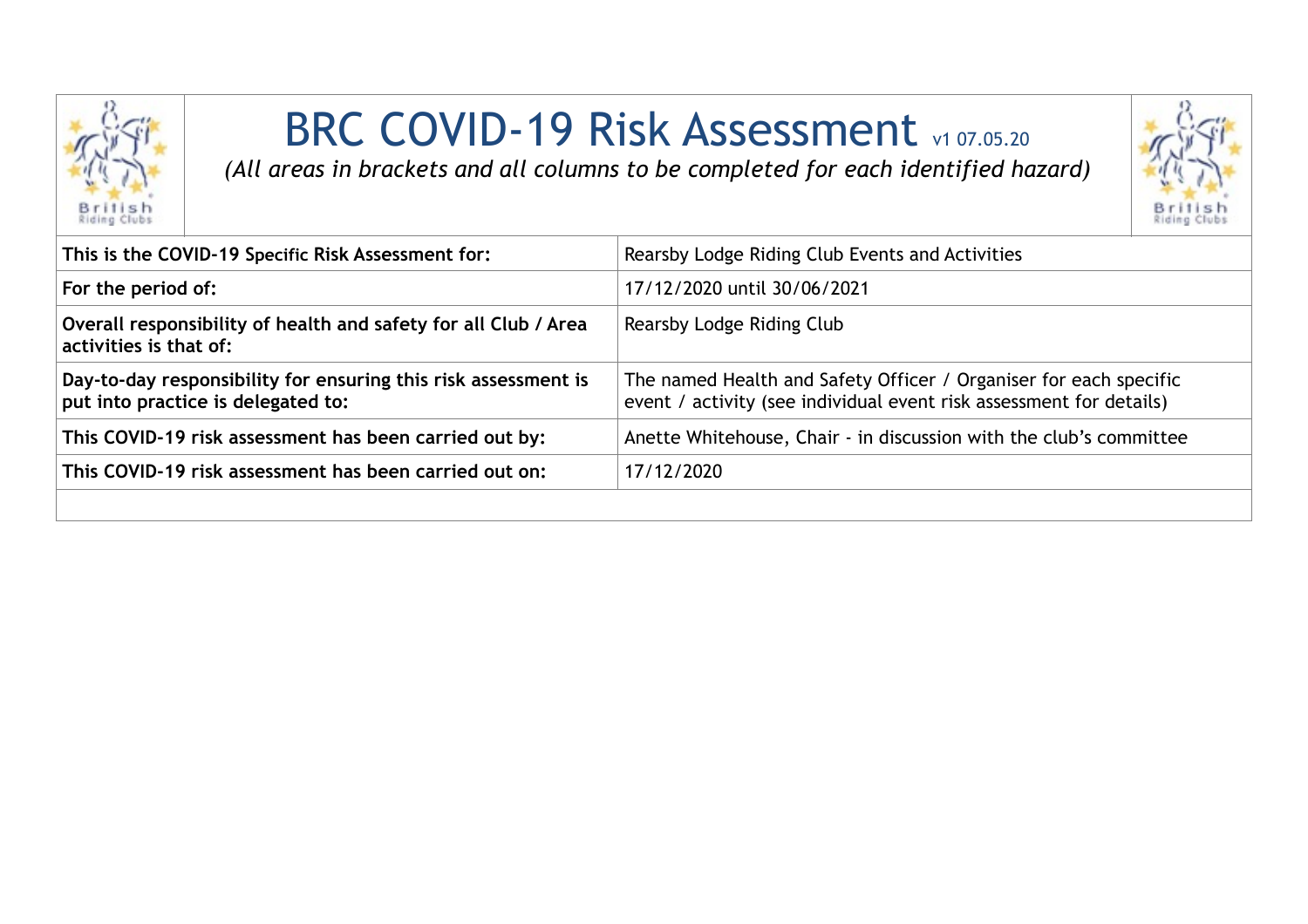

## BRC COVID-19 Risk Assessment v1 07.05.20

*(All areas in brackets and all columns to be completed for each identified hazard)*



| Rearsby Lodge Riding Club Events and Activities                                                                                          |
|------------------------------------------------------------------------------------------------------------------------------------------|
| 17/12/2020 until 30/06/2021                                                                                                              |
| Rearsby Lodge Riding Club                                                                                                                |
| The named Health and Safety Officer / Organiser for each specific<br>event / activity (see individual event risk assessment for details) |
| Anette Whitehouse, Chair - in discussion with the club's committee                                                                       |
| 17/12/2020                                                                                                                               |
|                                                                                                                                          |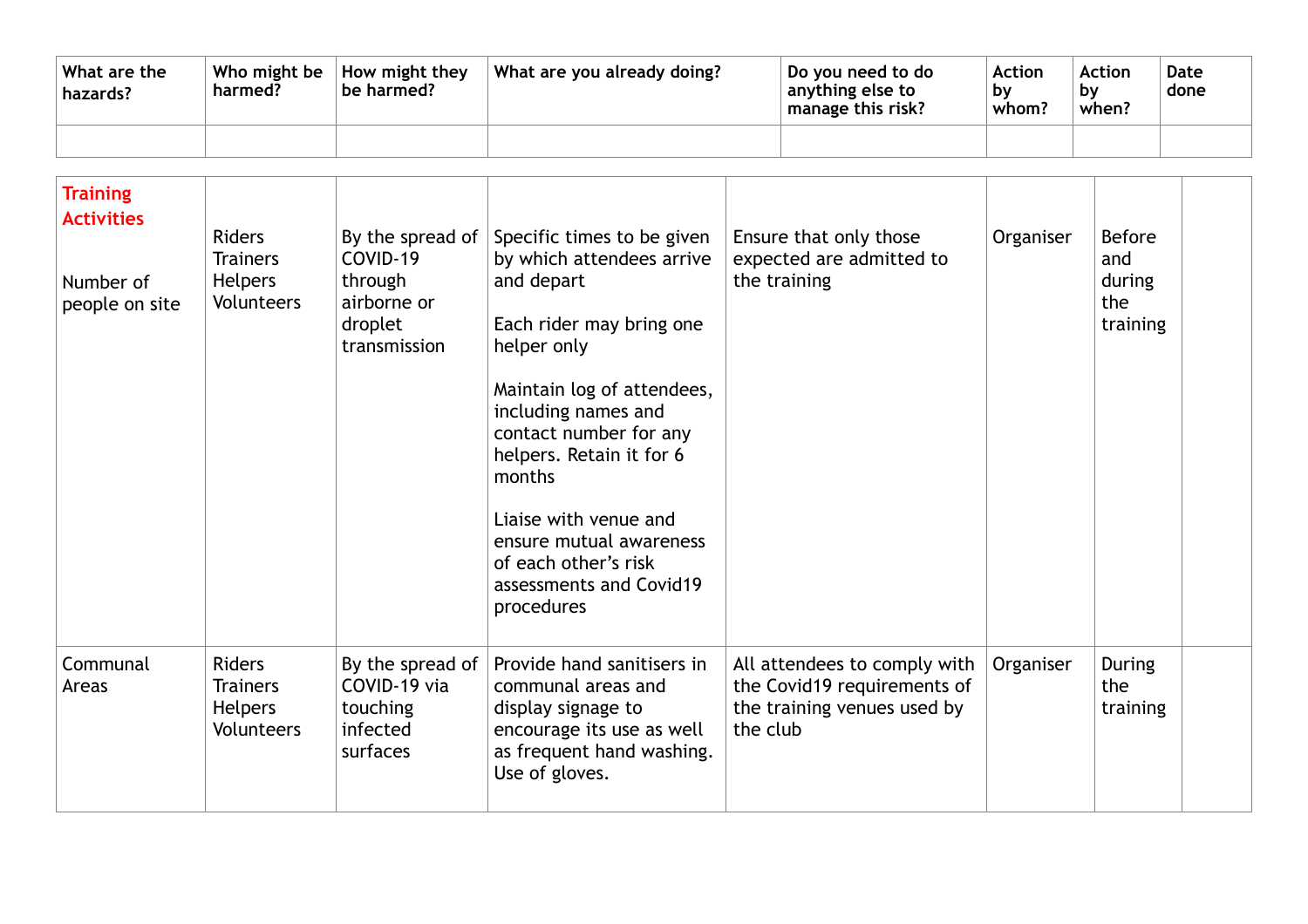| What are the<br>hazards? | Who might be<br>harmed? | How might they<br>be harmed? | What are you already doing? | Do you need to do<br>anything else to<br>manage this risk? | Action<br>Dν<br>whom? | <b>Action</b><br>Dν<br>when? | Date<br>done |
|--------------------------|-------------------------|------------------------------|-----------------------------|------------------------------------------------------------|-----------------------|------------------------------|--------------|
|                          |                         |                              |                             |                                                            |                       |                              |              |

| <b>Training</b><br><b>Activities</b><br>Number of<br>people on site | <b>Riders</b><br><b>Trainers</b><br><b>Helpers</b><br><b>Volunteers</b> | COVID-19<br>through<br>airborne or<br>droplet<br>transmission        | By the spread of Specific times to be given<br>by which attendees arrive<br>and depart<br>Each rider may bring one<br>helper only<br>Maintain log of attendees,<br>including names and<br>contact number for any<br>helpers. Retain it for 6<br>months<br>Liaise with venue and<br>ensure mutual awareness<br>of each other's risk<br>assessments and Covid19<br>procedures | Ensure that only those<br>expected are admitted to<br>the training                                     | Organiser | <b>Before</b><br>and<br>during<br>the<br>training |  |
|---------------------------------------------------------------------|-------------------------------------------------------------------------|----------------------------------------------------------------------|-----------------------------------------------------------------------------------------------------------------------------------------------------------------------------------------------------------------------------------------------------------------------------------------------------------------------------------------------------------------------------|--------------------------------------------------------------------------------------------------------|-----------|---------------------------------------------------|--|
| Communal<br>Areas                                                   | <b>Riders</b><br><b>Trainers</b><br><b>Helpers</b><br>Volunteers        | By the spread of<br>COVID-19 via<br>touching<br>infected<br>surfaces | Provide hand sanitisers in<br>communal areas and<br>display signage to<br>encourage its use as well<br>as frequent hand washing.<br>Use of gloves.                                                                                                                                                                                                                          | All attendees to comply with<br>the Covid19 requirements of<br>the training venues used by<br>the club | Organiser | During<br>the<br>training                         |  |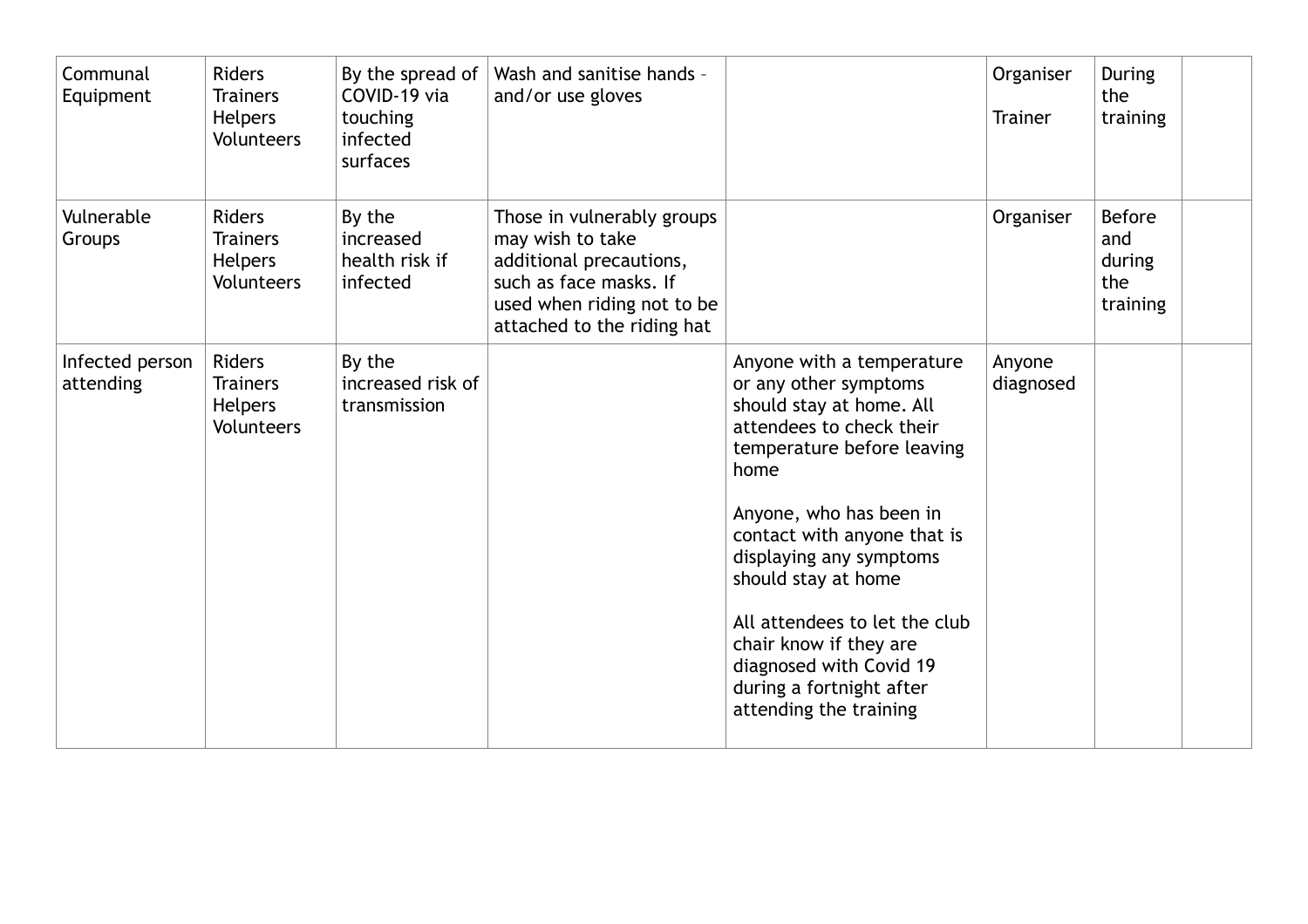| Communal<br>Equipment        | <b>Riders</b><br><b>Trainers</b><br><b>Helpers</b><br><b>Volunteers</b> | By the spread of<br>COVID-19 via<br>touching<br>infected<br>surfaces | Wash and sanitise hands -<br>and/or use gloves                                                                                                                  |                                                                                                                                                                                                                                                                                                                                                                                                          | Organiser<br><b>Trainer</b> | During<br>the<br>training                         |
|------------------------------|-------------------------------------------------------------------------|----------------------------------------------------------------------|-----------------------------------------------------------------------------------------------------------------------------------------------------------------|----------------------------------------------------------------------------------------------------------------------------------------------------------------------------------------------------------------------------------------------------------------------------------------------------------------------------------------------------------------------------------------------------------|-----------------------------|---------------------------------------------------|
| Vulnerable<br>Groups         | <b>Riders</b><br><b>Trainers</b><br><b>Helpers</b><br><b>Volunteers</b> | By the<br>increased<br>health risk if<br>infected                    | Those in vulnerably groups<br>may wish to take<br>additional precautions,<br>such as face masks. If<br>used when riding not to be<br>attached to the riding hat |                                                                                                                                                                                                                                                                                                                                                                                                          | Organiser                   | <b>Before</b><br>and<br>during<br>the<br>training |
| Infected person<br>attending | <b>Riders</b><br><b>Trainers</b><br><b>Helpers</b><br><b>Volunteers</b> | By the<br>increased risk of<br>transmission                          |                                                                                                                                                                 | Anyone with a temperature<br>or any other symptoms<br>should stay at home. All<br>attendees to check their<br>temperature before leaving<br>home<br>Anyone, who has been in<br>contact with anyone that is<br>displaying any symptoms<br>should stay at home<br>All attendees to let the club<br>chair know if they are<br>diagnosed with Covid 19<br>during a fortnight after<br>attending the training | Anyone<br>diagnosed         |                                                   |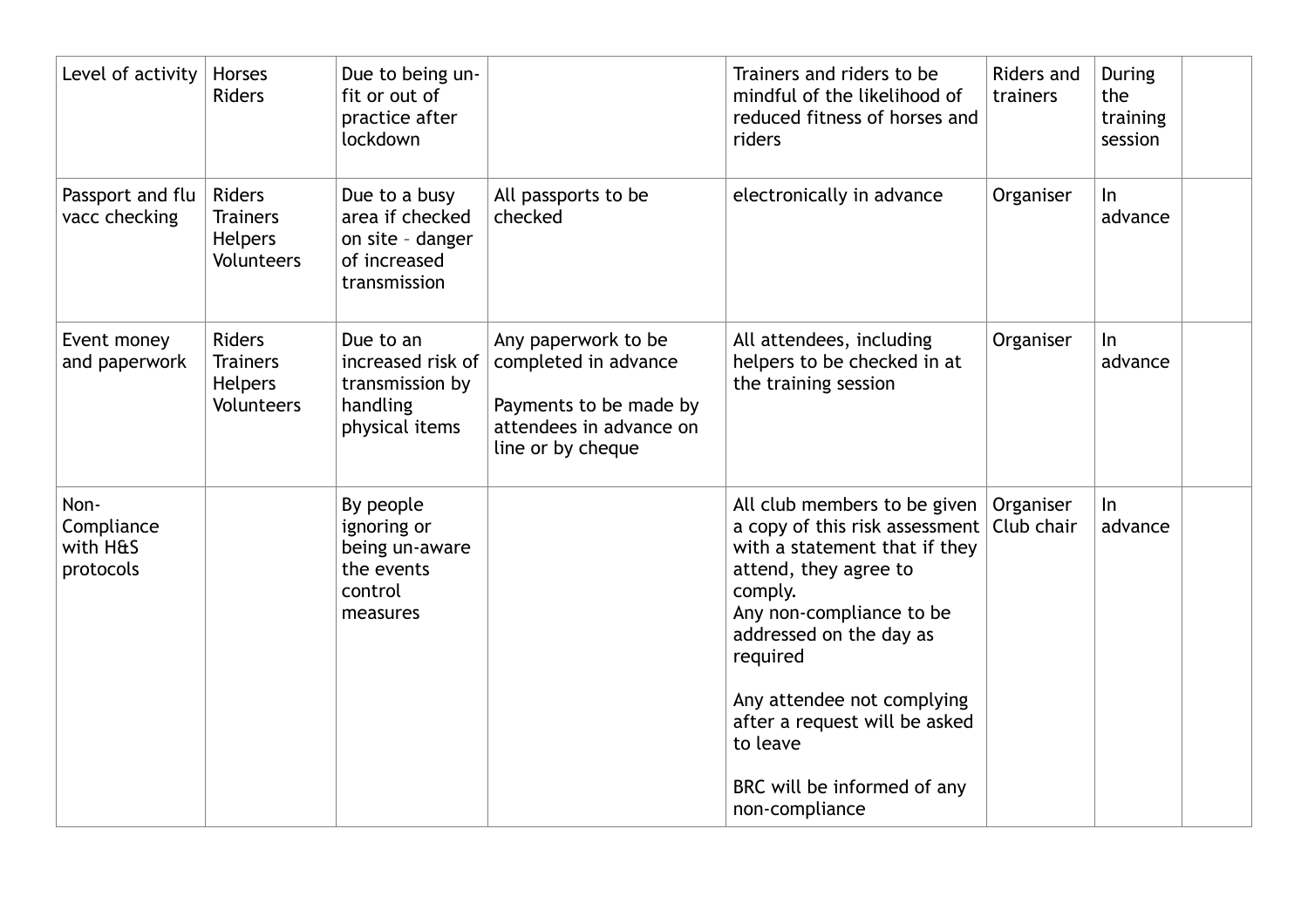| Level of activity                           | <b>Horses</b><br><b>Riders</b>                                          | Due to being un-<br>fit or out of<br>practice after<br>lockdown                      |                                                                                                                       | Trainers and riders to be<br>mindful of the likelihood of<br>reduced fitness of horses and<br>riders                                                                                                                                                                                                                                            | Riders and<br>trainers | During<br>the<br>training<br>session |  |
|---------------------------------------------|-------------------------------------------------------------------------|--------------------------------------------------------------------------------------|-----------------------------------------------------------------------------------------------------------------------|-------------------------------------------------------------------------------------------------------------------------------------------------------------------------------------------------------------------------------------------------------------------------------------------------------------------------------------------------|------------------------|--------------------------------------|--|
| Passport and flu<br>vacc checking           | Riders<br><b>Trainers</b><br><b>Helpers</b><br>Volunteers               | Due to a busy<br>area if checked<br>on site - danger<br>of increased<br>transmission | All passports to be<br>checked                                                                                        | electronically in advance                                                                                                                                                                                                                                                                                                                       | Organiser              | $\ln$<br>advance                     |  |
| Event money<br>and paperwork                | <b>Riders</b><br><b>Trainers</b><br><b>Helpers</b><br><b>Volunteers</b> | Due to an<br>increased risk of<br>transmission by<br>handling<br>physical items      | Any paperwork to be<br>completed in advance<br>Payments to be made by<br>attendees in advance on<br>line or by cheque | All attendees, including<br>helpers to be checked in at<br>the training session                                                                                                                                                                                                                                                                 | Organiser              | In<br>advance                        |  |
| Non-<br>Compliance<br>with H&S<br>protocols |                                                                         | By people<br>ignoring or<br>being un-aware<br>the events<br>control<br>measures      |                                                                                                                       | All club members to be given<br>a copy of this risk assessment   Club chair<br>with a statement that if they<br>attend, they agree to<br>comply.<br>Any non-compliance to be<br>addressed on the day as<br>required<br>Any attendee not complying<br>after a request will be asked<br>to leave<br>BRC will be informed of any<br>non-compliance | Organiser              | $\ln$<br>advance                     |  |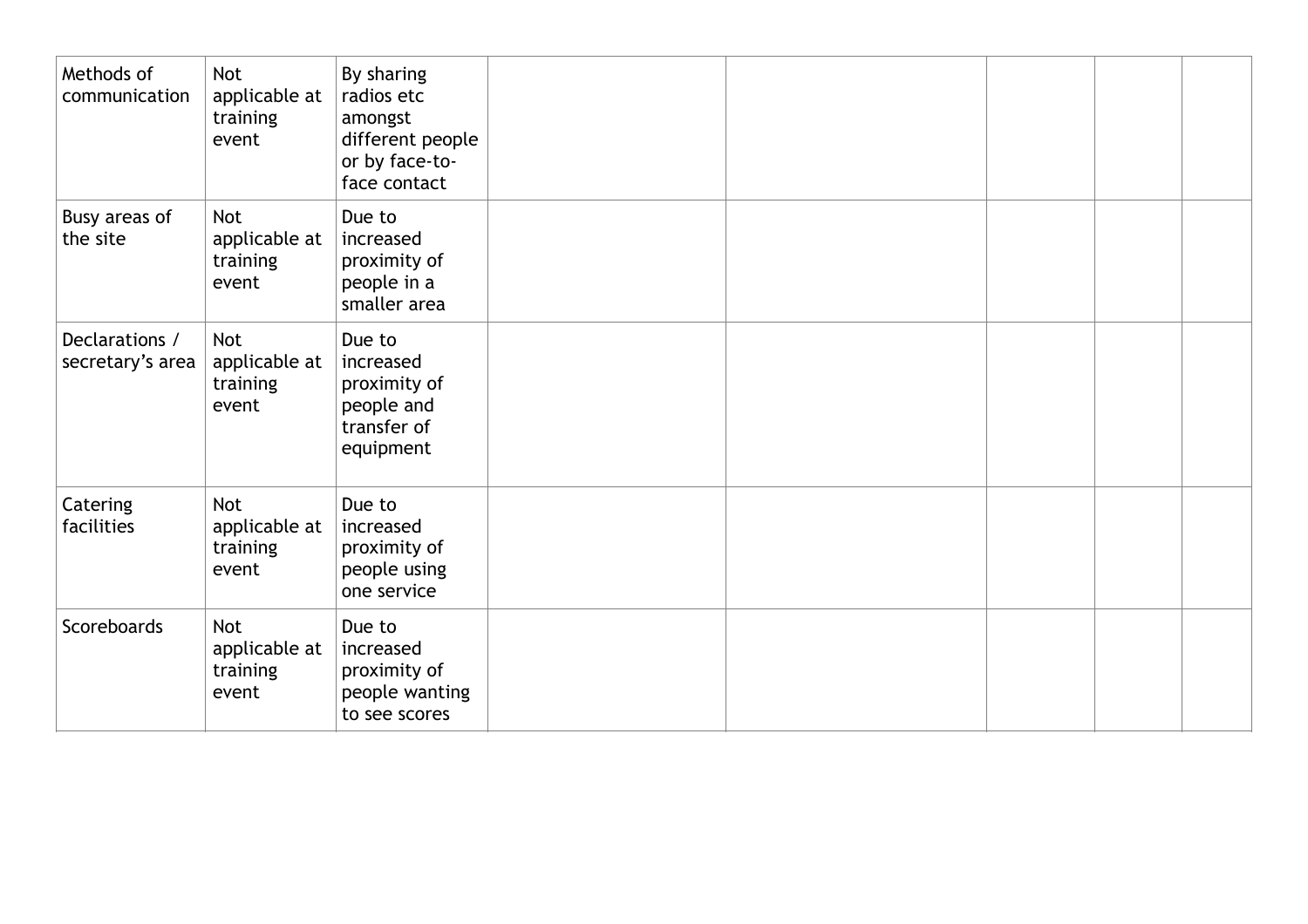| Methods of<br>communication        | <b>Not</b><br>applicable at<br>training<br>event | By sharing<br>radios etc<br>amongst<br>different people<br>or by face-to-<br>face contact |  |  |  |
|------------------------------------|--------------------------------------------------|-------------------------------------------------------------------------------------------|--|--|--|
| Busy areas of<br>the site          | <b>Not</b><br>applicable at<br>training<br>event | Due to<br>increased<br>proximity of<br>people in a<br>smaller area                        |  |  |  |
| Declarations /<br>secretary's area | <b>Not</b><br>applicable at<br>training<br>event | Due to<br>increased<br>proximity of<br>people and<br>transfer of<br>equipment             |  |  |  |
| Catering<br>facilities             | <b>Not</b><br>applicable at<br>training<br>event | Due to<br>increased<br>proximity of<br>people using<br>one service                        |  |  |  |
| Scoreboards                        | <b>Not</b><br>applicable at<br>training<br>event | Due to<br>increased<br>proximity of<br>people wanting<br>to see scores                    |  |  |  |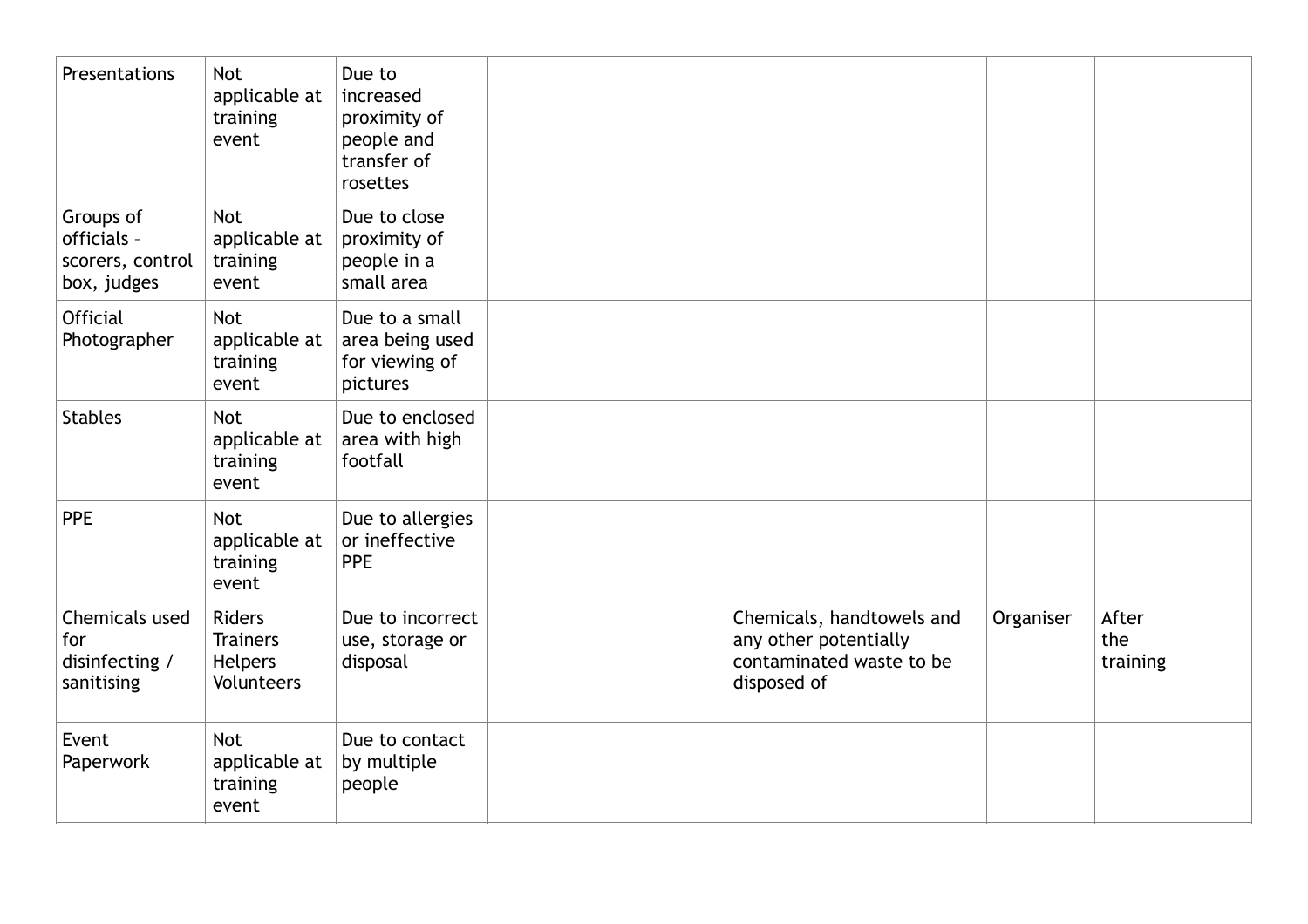| Presentations                                               | <b>Not</b><br>applicable at<br>training<br>event          | Due to<br>increased<br>proximity of<br>people and<br>transfer of<br>rosettes |                                                                                               |           |                          |  |
|-------------------------------------------------------------|-----------------------------------------------------------|------------------------------------------------------------------------------|-----------------------------------------------------------------------------------------------|-----------|--------------------------|--|
| Groups of<br>officials -<br>scorers, control<br>box, judges | <b>Not</b><br>applicable at<br>training<br>event          | Due to close<br>proximity of<br>people in a<br>small area                    |                                                                                               |           |                          |  |
| <b>Official</b><br>Photographer                             | <b>Not</b><br>applicable at<br>training<br>event          | Due to a small<br>area being used<br>for viewing of<br>pictures              |                                                                                               |           |                          |  |
| <b>Stables</b>                                              | <b>Not</b><br>applicable at<br>training<br>event          | Due to enclosed<br>area with high<br>footfall                                |                                                                                               |           |                          |  |
| <b>PPE</b>                                                  | <b>Not</b><br>applicable at<br>training<br>event          | Due to allergies<br>or ineffective<br><b>PPE</b>                             |                                                                                               |           |                          |  |
| Chemicals used<br>for<br>disinfecting /<br>sanitising       | <b>Riders</b><br><b>Trainers</b><br>Helpers<br>Volunteers | Due to incorrect<br>use, storage or<br>disposal                              | Chemicals, handtowels and<br>any other potentially<br>contaminated waste to be<br>disposed of | Organiser | After<br>the<br>training |  |
| Event<br>Paperwork                                          | <b>Not</b><br>applicable at<br>training<br>event          | Due to contact<br>by multiple<br>people                                      |                                                                                               |           |                          |  |